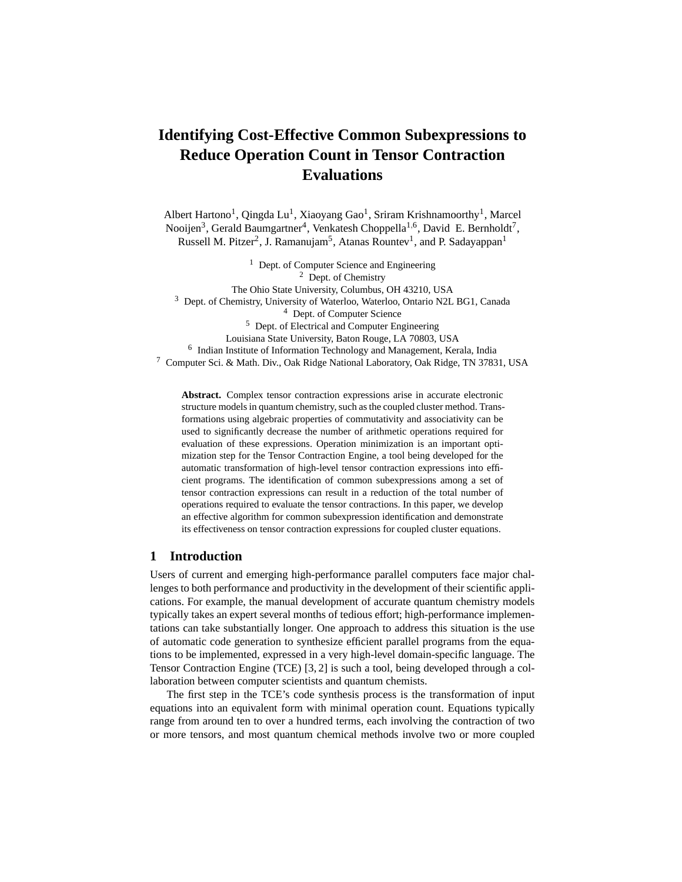# **Identifying Cost-Effective Common Subexpressions to Reduce Operation Count in Tensor Contraction Evaluations**

Albert Hartono<sup>1</sup>, Qingda Lu<sup>1</sup>, Xiaoyang Gao<sup>1</sup>, Sriram Krishnamoorthy<sup>1</sup>, Marcel Nooijen<sup>3</sup>, Gerald Baumgartner<sup>4</sup>, Venkatesh Choppella<sup>1,6</sup>, David E. Bernholdt<sup>7</sup>, Russell M. Pitzer<sup>2</sup>, J. Ramanujam<sup>5</sup>, Atanas Rountev<sup>1</sup>, and P. Sadayappan<sup>1</sup>

 $<sup>1</sup>$  Dept. of Computer Science and Engineering</sup> <sup>2</sup> Dept. of Chemistry The Ohio State University, Columbus, OH 43210, USA <sup>3</sup> Dept. of Chemistry, University of Waterloo, Waterloo, Ontario N2L BG1, Canada <sup>4</sup> Dept. of Computer Science <sup>5</sup> Dept. of Electrical and Computer Engineering Louisiana State University, Baton Rouge, LA 70803, USA <sup>6</sup> Indian Institute of Information Technology and Management, Kerala, India <sup>7</sup> Computer Sci. & Math. Div., Oak Ridge National Laboratory, Oak Ridge, TN 37831, USA

**Abstract.** Complex tensor contraction expressions arise in accurate electronic structure models in quantum chemistry, such as the coupled cluster method. Transformations using algebraic properties of commutativity and associativity can be used to significantly decrease the number of arithmetic operations required for evaluation of these expressions. Operation minimization is an important optimization step for the Tensor Contraction Engine, a tool being developed for the automatic transformation of high-level tensor contraction expressions into efficient programs. The identification of common subexpressions among a set of tensor contraction expressions can result in a reduction of the total number of operations required to evaluate the tensor contractions. In this paper, we develop an effective algorithm for common subexpression identification and demonstrate its effectiveness on tensor contraction expressions for coupled cluster equations.

## **1 Introduction**

Users of current and emerging high-performance parallel computers face major challenges to both performance and productivity in the development of their scientific applications. For example, the manual development of accurate quantum chemistry models typically takes an expert several months of tedious effort; high-performance implementations can take substantially longer. One approach to address this situation is the use of automatic code generation to synthesize efficient parallel programs from the equations to be implemented, expressed in a very high-level domain-specific language. The Tensor Contraction Engine (TCE) [3, 2] is such a tool, being developed through a collaboration between computer scientists and quantum chemists.

The first step in the TCE's code synthesis process is the transformation of input equations into an equivalent form with minimal operation count. Equations typically range from around ten to over a hundred terms, each involving the contraction of two or more tensors, and most quantum chemical methods involve two or more coupled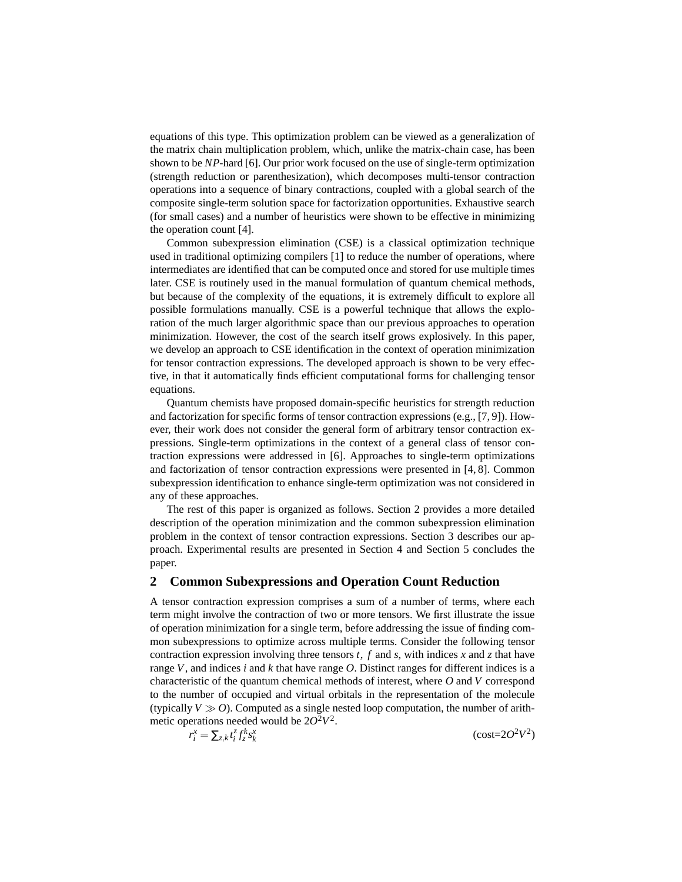equations of this type. This optimization problem can be viewed as a generalization of the matrix chain multiplication problem, which, unlike the matrix-chain case, has been shown to be *NP*-hard [6]. Our prior work focused on the use of single-term optimization (strength reduction or parenthesization), which decomposes multi-tensor contraction operations into a sequence of binary contractions, coupled with a global search of the composite single-term solution space for factorization opportunities. Exhaustive search (for small cases) and a number of heuristics were shown to be effective in minimizing the operation count [4].

Common subexpression elimination (CSE) is a classical optimization technique used in traditional optimizing compilers [1] to reduce the number of operations, where intermediates are identified that can be computed once and stored for use multiple times later. CSE is routinely used in the manual formulation of quantum chemical methods, but because of the complexity of the equations, it is extremely difficult to explore all possible formulations manually. CSE is a powerful technique that allows the exploration of the much larger algorithmic space than our previous approaches to operation minimization. However, the cost of the search itself grows explosively. In this paper, we develop an approach to CSE identification in the context of operation minimization for tensor contraction expressions. The developed approach is shown to be very effective, in that it automatically finds efficient computational forms for challenging tensor equations.

Quantum chemists have proposed domain-specific heuristics for strength reduction and factorization for specific forms of tensor contraction expressions (e.g., [7, 9]). However, their work does not consider the general form of arbitrary tensor contraction expressions. Single-term optimizations in the context of a general class of tensor contraction expressions were addressed in [6]. Approaches to single-term optimizations and factorization of tensor contraction expressions were presented in [4, 8]. Common subexpression identification to enhance single-term optimization was not considered in any of these approaches.

The rest of this paper is organized as follows. Section 2 provides a more detailed description of the operation minimization and the common subexpression elimination problem in the context of tensor contraction expressions. Section 3 describes our approach. Experimental results are presented in Section 4 and Section 5 concludes the paper.

# **2 Common Subexpressions and Operation Count Reduction**

A tensor contraction expression comprises a sum of a number of terms, where each term might involve the contraction of two or more tensors. We first illustrate the issue of operation minimization for a single term, before addressing the issue of finding common subexpressions to optimize across multiple terms. Consider the following tensor contraction expression involving three tensors  $t$ ,  $f$  and  $s$ , with indices  $x$  and  $z$  that have range *V*, and indices *i* and *k* that have range *O*. Distinct ranges for different indices is a characteristic of the quantum chemical methods of interest, where *O* and *V* correspond to the number of occupied and virtual orbitals in the representation of the molecule (typically  $V \gg 0$ ). Computed as a single nested loop computation, the number of arithmetic operations needed would be  $2O^2V^2$ .

$$
r_i^x = \sum_{z,k} t_i^z f_z^k s_k^x \tag{cost = 202V2}
$$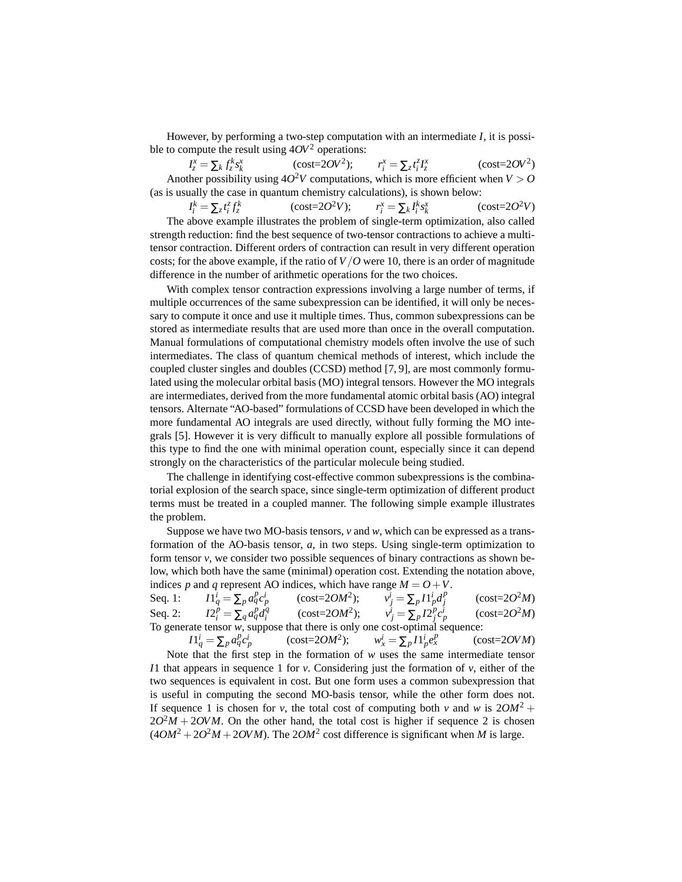However, by performing a two-step computation with an intermediate *I*, it is possible to compute the result using 4*OV* <sup>2</sup> operations:

 $I_z^x = \sum_k f_z^k s_k^x$  $\frac{\text{cost}}{20V^2}$ );  $r_i^x = \sum_z t_i^z I_z^x$  $\left(\text{cost} = 2OV^2\right)$ Another possibility using  $4O^2V$  computations, which is more efficient when  $V > O$ (as is usually the case in quantum chemistry calculations), is shown below:

 $I_i^k = \sum_z t_i^z f_z^k$  $(\text{cost}=2O^2V);$  *r*  $\sum_{i}^{x} = \sum_{k} I_i^k s_k^x$  $(\text{cost}=2O^2V)$ 

The above example illustrates the problem of single-term optimization, also called strength reduction: find the best sequence of two-tensor contractions to achieve a multitensor contraction. Different orders of contraction can result in very different operation costs; for the above example, if the ratio of  $V/O$  were 10, there is an order of magnitude difference in the number of arithmetic operations for the two choices.

With complex tensor contraction expressions involving a large number of terms, if multiple occurrences of the same subexpression can be identified, it will only be necessary to compute it once and use it multiple times. Thus, common subexpressions can be stored as intermediate results that are used more than once in the overall computation. Manual formulations of computational chemistry models often involve the use of such intermediates. The class of quantum chemical methods of interest, which include the coupled cluster singles and doubles (CCSD) method [7, 9], are most commonly formulated using the molecular orbital basis (MO) integral tensors. However the MO integrals are intermediates, derived from the more fundamental atomic orbital basis (AO) integral tensors. Alternate "AO-based" formulations of CCSD have been developed in which the more fundamental AO integrals are used directly, without fully forming the MO integrals [5]. However it is very difficult to manually explore all possible formulations of this type to find the one with minimal operation count, especially since it can depend strongly on the characteristics of the particular molecule being studied.

The challenge in identifying cost-effective common subexpressions is the combinatorial explosion of the search space, since single-term optimization of different product terms must be treated in a coupled manner. The following simple example illustrates the problem.

Suppose we have two MO-basis tensors,  $\nu$  and  $w$ , which can be expressed as a transformation of the AO-basis tensor, *a*, in two steps. Using single-term optimization to form tensor *v*, we consider two possible sequences of binary contractions as shown below, which both have the same (minimal) operation cost. Extending the notation above, indices  $p$  and  $q$  represent AO indices, which have range  $M = O + V$ .

Seq. 1:  $I_4^i = \sum_p a_q^p c_p^i$  (cost=2*OM*<sup>2</sup>);  $v_j^i = \sum_p I_4^i d_p^p$  (cost=2*O*<sup>2</sup>*M*) Seq. 2:  $I2_i^p = \sum_q a_q^p d_i^q$   $(\text{cost} = 2OM^2);$   $v_j^i = \sum_p I2_j^p c_p^i$   $(\text{cost} = 2O^2M)$ To generate tensor *w*, suppose that there is only one cost-optimal sequence:  $I1_{q}^{i} = \sum_{p} a_{q}^{p} c_{p}^{i}$  (cost=20M<sup>2</sup>);  $w_{x}^{i} = \sum_{p} I1_{p}^{i} e_{x}^{p}$  (cost=20VM)

Note that the first step in the formation of *w* uses the same intermediate tensor *I*1 that appears in sequence 1 for *v*. Considering just the formation of *v*, either of the two sequences is equivalent in cost. But one form uses a common subexpression that is useful in computing the second MO-basis tensor, while the other form does not. If sequence 1 is chosen for *v*, the total cost of computing both *v* and *w* is  $2OM^2$  +  $2O^2M + 2OVM$ . On the other hand, the total cost is higher if sequence 2 is chosen  $(4OM^2 + 2O^2M + 2OVM)$ . The  $2OM^2$  cost difference is significant when *M* is large.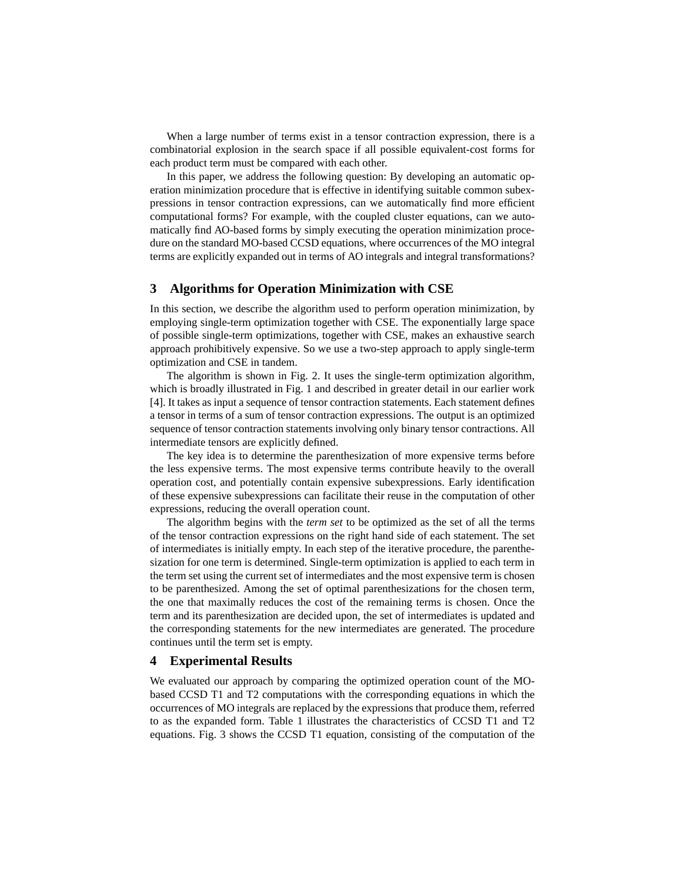When a large number of terms exist in a tensor contraction expression, there is a combinatorial explosion in the search space if all possible equivalent-cost forms for each product term must be compared with each other.

In this paper, we address the following question: By developing an automatic operation minimization procedure that is effective in identifying suitable common subexpressions in tensor contraction expressions, can we automatically find more efficient computational forms? For example, with the coupled cluster equations, can we automatically find AO-based forms by simply executing the operation minimization procedure on the standard MO-based CCSD equations, where occurrences of the MO integral terms are explicitly expanded out in terms of AO integrals and integral transformations?

#### **3 Algorithms for Operation Minimization with CSE**

In this section, we describe the algorithm used to perform operation minimization, by employing single-term optimization together with CSE. The exponentially large space of possible single-term optimizations, together with CSE, makes an exhaustive search approach prohibitively expensive. So we use a two-step approach to apply single-term optimization and CSE in tandem.

The algorithm is shown in Fig. 2. It uses the single-term optimization algorithm, which is broadly illustrated in Fig. 1 and described in greater detail in our earlier work [4]. It takes as input a sequence of tensor contraction statements. Each statement defines a tensor in terms of a sum of tensor contraction expressions. The output is an optimized sequence of tensor contraction statements involving only binary tensor contractions. All intermediate tensors are explicitly defined.

The key idea is to determine the parenthesization of more expensive terms before the less expensive terms. The most expensive terms contribute heavily to the overall operation cost, and potentially contain expensive subexpressions. Early identification of these expensive subexpressions can facilitate their reuse in the computation of other expressions, reducing the overall operation count.

The algorithm begins with the *term set* to be optimized as the set of all the terms of the tensor contraction expressions on the right hand side of each statement. The set of intermediates is initially empty. In each step of the iterative procedure, the parenthesization for one term is determined. Single-term optimization is applied to each term in the term set using the current set of intermediates and the most expensive term is chosen to be parenthesized. Among the set of optimal parenthesizations for the chosen term, the one that maximally reduces the cost of the remaining terms is chosen. Once the term and its parenthesization are decided upon, the set of intermediates is updated and the corresponding statements for the new intermediates are generated. The procedure continues until the term set is empty.

## **4 Experimental Results**

We evaluated our approach by comparing the optimized operation count of the MObased CCSD T1 and T2 computations with the corresponding equations in which the occurrences of MO integrals are replaced by the expressions that produce them, referred to as the expanded form. Table 1 illustrates the characteristics of CCSD T1 and T2 equations. Fig. 3 shows the CCSD T1 equation, consisting of the computation of the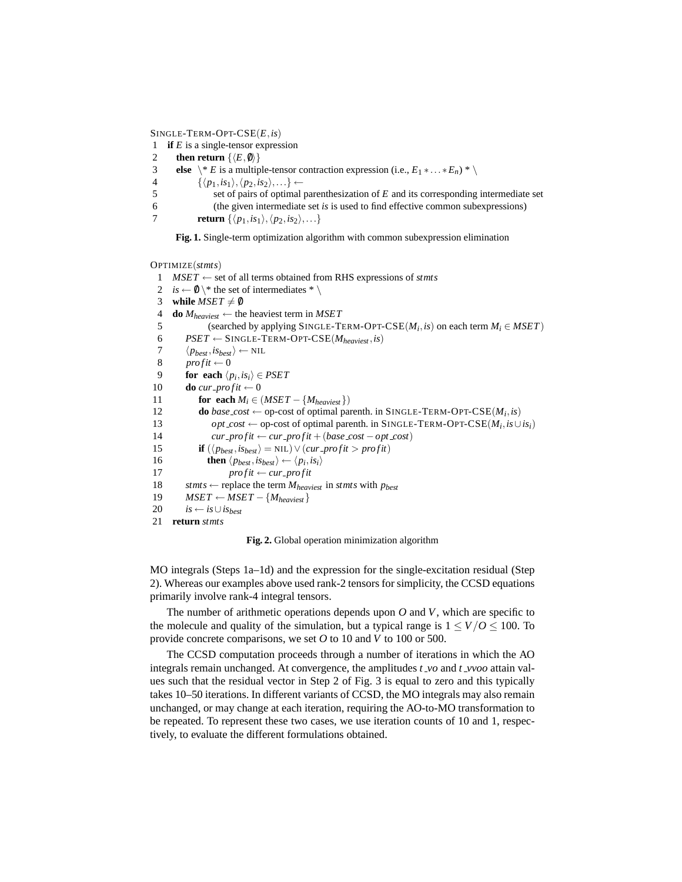SINGLE-TERM-OPT-CSE(*E*,*is*)

|   | 1 if $E$ is a single-tensor expression                                                                        |
|---|---------------------------------------------------------------------------------------------------------------|
| 2 | then return $\{\langle E, \emptyset \rangle\}$                                                                |
| 3 | <b>else</b> $\backslash * E$ is a multiple-tensor contraction expression (i.e., $E_1 *  * E_n * \backslash *$ |
| 4 | $\{\langle p_1, is_1 \rangle, \langle p_2, is_2 \rangle, \ldots\} \leftarrow$                                 |
| 5 | set of pairs of optimal parenthesization of $E$ and its corresponding intermediate set                        |
| 6 | (the given intermediate set is is used to find effective common subexpressions)                               |
|   | <b>return</b> $\{\langle p_1, is_1 \rangle, \langle p_2, is_2 \rangle, \ldots\}$                              |
|   |                                                                                                               |

**Fig. 1.** Single-term optimization algorithm with common subexpression elimination

OPTIMIZE(*stmts*)

 *MSET* ← set of all terms obtained from RHS expressions of *stmts is*  $\leftarrow \emptyset \$  \* the set of intermediates \*  $\setminus$ 3 while  $MSET \neq 0$  **do** *Mheaviest* ← the heaviest term in *MSET* 5 (searched by applying SINGLE-TERM-OPT- $CSE(M_i, is)$  on each term  $M_i \in MSET$ ) *PSET*  $\leftarrow$  SINGLE-TERM-OPT-CSE $(M_{heaviest}, is)$  $\langle p_{best}, i_{Sbest} \rangle \leftarrow \text{NIL}$ *profit*  $\leftarrow 0$ **for each**  $\langle p_i, is_i \rangle \in PSET$ **do**  $cur\_profit \leftarrow 0$ **for each**  $M_i \in (MSET - \{M_{heaviest}\})$ <br>12 **do** *base\_cost* ← op-cost of optimal para **do** *base\_cost*  $\leftarrow$  op-cost of optimal parenth. in SINGLE-TERM-OPT-CSE( $M_i$ , is) *opt*  $\cos t$  ← op-cost of optimal parenth. in SINGLE-TERM-OPT-CSE( $M_i$ , *is*∪*is*<sub>*i*</sub>)</sub>  $cur\_profit \leftarrow cur\_profit + (base\_cost - opt\_cost)$ **if**  $(\langle p_{best}, is_{best} \rangle = \text{NIL}) \vee (cur\_profit > profit)$ **then**  $\langle p_{best}, is_{best} \rangle \leftarrow \langle p_i, is_i \rangle$  $\qquad \qquad \text{profit} \leftarrow \text{cur\_profit}$ *stmts*  $\leftarrow$  replace the term  $M_{heaviest}$  in *stmts* with  $p_{best}$  $MSET \leftarrow MSET - \{M_{heaviest}\}$  *is* ← *is*∪*isbest* **return** *stmts*

**Fig. 2.** Global operation minimization algorithm

MO integrals (Steps 1a–1d) and the expression for the single-excitation residual (Step 2). Whereas our examples above used rank-2 tensors for simplicity, the CCSD equations primarily involve rank-4 integral tensors.

The number of arithmetic operations depends upon *O* and *V*, which are specific to the molecule and quality of the simulation, but a typical range is  $1 \le V/O \le 100$ . To provide concrete comparisons, we set *O* to 10 and *V* to 100 or 500.

The CCSD computation proceeds through a number of iterations in which the AO integrals remain unchanged. At convergence, the amplitudes  $t$  *vo* and  $t$  *vvoo* attain values such that the residual vector in Step 2 of Fig. 3 is equal to zero and this typically takes 10–50 iterations. In different variants of CCSD, the MO integrals may also remain unchanged, or may change at each iteration, requiring the AO-to-MO transformation to be repeated. To represent these two cases, we use iteration counts of 10 and 1, respectively, to evaluate the different formulations obtained.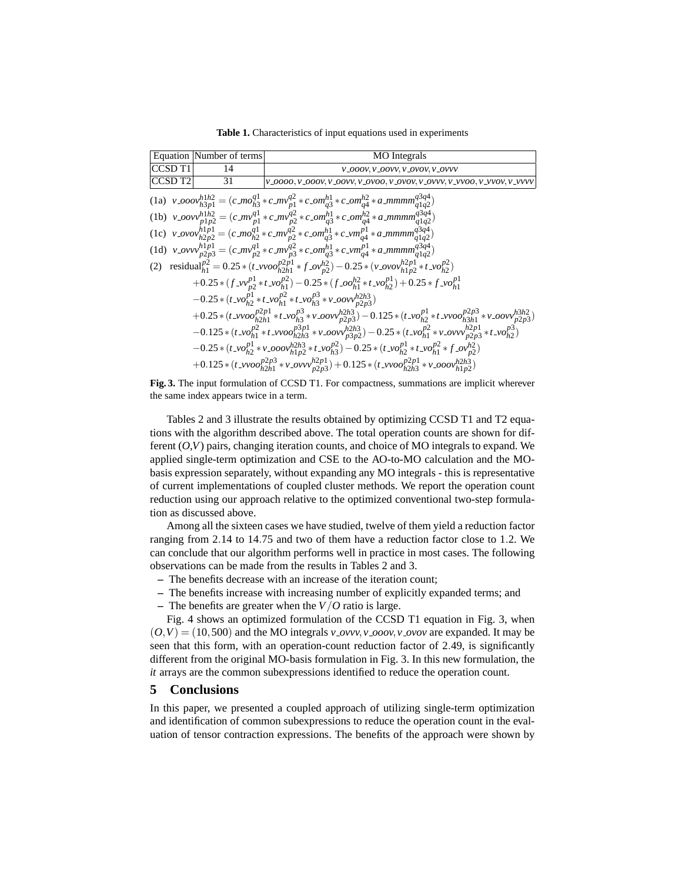|                                                                                                                                                                                            | Equation Number of terms                                                                                                     | MO Integrals                                                                                                    |  |  |  |  |  |  |  |
|--------------------------------------------------------------------------------------------------------------------------------------------------------------------------------------------|------------------------------------------------------------------------------------------------------------------------------|-----------------------------------------------------------------------------------------------------------------|--|--|--|--|--|--|--|
| <b>CCSD T1</b>                                                                                                                                                                             | 14                                                                                                                           | V_000V, V_00VV, V_0VOV, V_0VVV                                                                                  |  |  |  |  |  |  |  |
| CCSD <sub>T2</sub>                                                                                                                                                                         | 31                                                                                                                           | V_0000, V_000V, V_00VV, V_0V00, V_0V0V, V_0VVV, V_VV00, V_VV0V, V_VVVV                                          |  |  |  |  |  |  |  |
| (1a) $v\text{-}oov_{h3p1}^{h1h2} = (c\text{-}mo_{h3}^{q1} * c\text{-}mv_{p1}^{q2} * c\text{-}om_{q3}^{h1} * c\text{-}om_{q4}^{h2} * a\text{-}mmm_{q1q2}^{q3q4}$                            |                                                                                                                              |                                                                                                                 |  |  |  |  |  |  |  |
| (1b) $v_{.}oovv_{p1p2}^{h1h2} = (c_{.}mv_{p1}^{q1} * c_{.}mv_{p2}^{q2} * c_{.}om_{q3}^{h1} * c_{.}om_{q4}^{h2} * a_{.}mmmm_{q1q2}^{q3q4})$                                                 |                                                                                                                              |                                                                                                                 |  |  |  |  |  |  |  |
| (1c) $v_{.}ovov_{h2p2}^{h1p1} = (c_{.}mo_{h2}^{q1} * c_{.}mv_{p2}^{q2} * c_{.}om_{q3}^{h1} * c_{.}vm_{q4}^{p1} * a_{.}mmmm_{q1q2}^{q3q4})$                                                 |                                                                                                                              |                                                                                                                 |  |  |  |  |  |  |  |
| (1d) $v_{.ov} \nu v_{p2p3}^{h1p1} = (c_{.mv_{p2}}^{q1} * c_{.mv_{p3}}^{q2} * c_{.om_{q3}}^{h1} * c_{.vm_{q4}}^{p1} * a_{.mmmm_{q1q2}}^{q3q4})$                                             |                                                                                                                              |                                                                                                                 |  |  |  |  |  |  |  |
| (2) residual $l_{h1}^{p2} = 0.25 * (t_{.} v v_{0} \partial_{h2h1}^{p2p1} * f_{.} \partial v_{n2}^{h2}) - 0.25 * (v_{.} \partial_{v2} \partial_{h1n2}^{p2p1} * t_{.} \partial v_{n2}^{p2})$ |                                                                                                                              |                                                                                                                 |  |  |  |  |  |  |  |
|                                                                                                                                                                                            | $+0.25 * (f_{-}vv_{n2}^{p1} * t_{-}vv_{h1}^{p2}) -0.25 * (f_{-}oo_{h1}^{h2} * t_{-}vv_{h2}^{p1}) + 0.25 * f_{-}vo_{h1}^{p1}$ |                                                                                                                 |  |  |  |  |  |  |  |
| $-0.25*(t_{v}^{}v_{h2}^{p1}*t_{v0}^{p2}*t_{v}^{}v_{h3}^{p3}*v_{v}^{}o_{o}^{p3}v_{h2h3}^{h2h3})$                                                                                            |                                                                                                                              |                                                                                                                 |  |  |  |  |  |  |  |
| $+0.25*(t_{.}vvoo_{h2h1}^{p2p1}*t_{.}vo_{h3}^{p3}*v_{.}oovv_{p2p3}^{h2h3}) -0.125*(t_{.}vo_{h2}^{p1}*t_{.}vvoo_{h3h1}^{p2p3}*v_{.}oovv_{p2p3}^{h3h2})$                                     |                                                                                                                              |                                                                                                                 |  |  |  |  |  |  |  |
| $-0.125*(t_{1}vol_{h1}^{p2} * t_{1}vol_{h2h3}^{p3p1} * v_{0}ov_{p3p2}^{h2h3}) -0.25*(t_{1}vol_{h1}^{p2} * v_{0}ov_{p2p3}^{h2p1} * t_{1}vol_{h2}^{p3})$                                     |                                                                                                                              |                                                                                                                 |  |  |  |  |  |  |  |
| $-0.25*(t_{-}v_{h2}^{p1} * v_{-}oov_{h1n2}^{h2h3} * t_{-}v_{h3}^{p2}) -0.25*(t_{-}v_{h2}^{p1} * t_{-}v_{h1}^{p2} * f_{-}ov_{n2}^{h2})$                                                     |                                                                                                                              |                                                                                                                 |  |  |  |  |  |  |  |
|                                                                                                                                                                                            |                                                                                                                              | $+0.125*(t_{.}vwo_{h2h1}^{p2p3}*v_{.}ovv_{n2h3}^{h2p1})+0.125*(t_{.}vwo_{h2h3}^{p2p1}*v_{.}ooov_{h1h2}^{h2h3})$ |  |  |  |  |  |  |  |

**Table 1.** Characteristics of input equations used in experiments

**Fig. 3.** The input formulation of CCSD T1. For compactness, summations are implicit wherever the same index appears twice in a term.

Tables 2 and 3 illustrate the results obtained by optimizing CCSD T1 and T2 equations with the algorithm described above. The total operation counts are shown for different (*O*,*V*) pairs, changing iteration counts, and choice of MO integrals to expand. We applied single-term optimization and CSE to the AO-to-MO calculation and the MObasis expression separately, without expanding any MO integrals - this is representative of current implementations of coupled cluster methods. We report the operation count reduction using our approach relative to the optimized conventional two-step formulation as discussed above.

Among all the sixteen cases we have studied, twelve of them yield a reduction factor ranging from 2.14 to 14.75 and two of them have a reduction factor close to 1.2. We can conclude that our algorithm performs well in practice in most cases. The following observations can be made from the results in Tables 2 and 3.

- **–** The benefits decrease with an increase of the iteration count;
- **–** The benefits increase with increasing number of explicitly expanded terms; and
- **–** The benefits are greater when the *V*/*O* ratio is large.

Fig. 4 shows an optimized formulation of the CCSD T1 equation in Fig. 3, when  $(O, V) = (10, 500)$  and the MO integrals *v ovvv*, *v ooov*, *v ovov* are expanded. It may be seen that this form, with an operation-count reduction factor of 2.49, is significantly different from the original MO-basis formulation in Fig. 3. In this new formulation, the *it* arrays are the common subexpressions identified to reduce the operation count.

## **5 Conclusions**

In this paper, we presented a coupled approach of utilizing single-term optimization and identification of common subexpressions to reduce the operation count in the evaluation of tensor contraction expressions. The benefits of the approach were shown by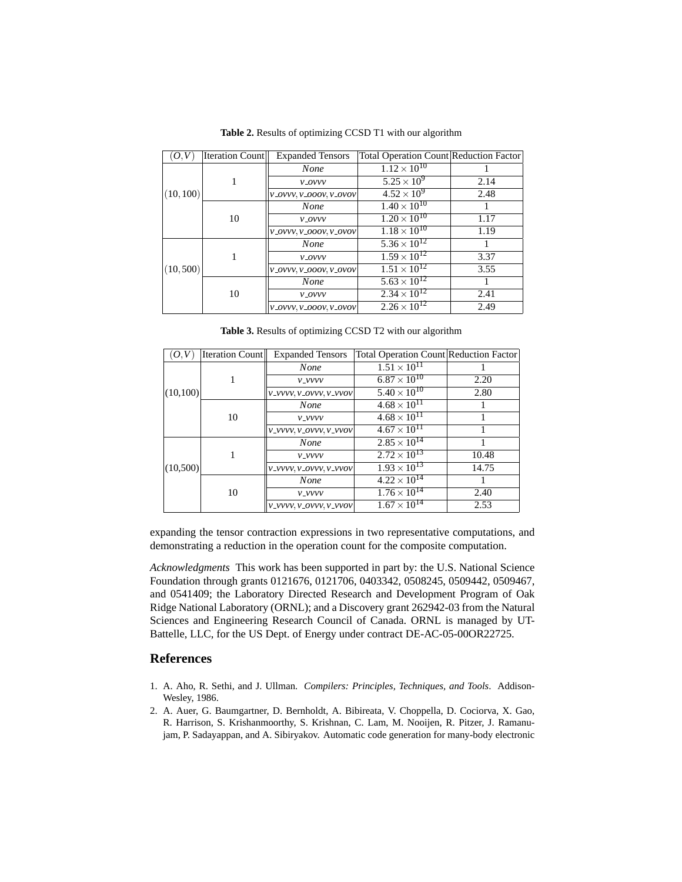| (O, V)    | Iteration Count | <b>Expanded Tensors</b>                                         | Total Operation Count Reduction Factor |      |
|-----------|-----------------|-----------------------------------------------------------------|----------------------------------------|------|
|           |                 | None                                                            | $1.12 \times 10^{10}$                  |      |
|           |                 | $V_0$                                                           | $5.25 \times 10^{9}$                   | 2.14 |
| (10, 100) |                 | $v_ovvv, v_{{\cal O}}ov, v_{{\cal O}}vv$                        | $4.52 \times 10^{9}$                   | 2.48 |
|           | 10              | None                                                            | $1.40 \times 10^{10}$                  |      |
|           |                 | $V_0$                                                           | $1.20 \times 10^{10}$                  | 1.17 |
|           |                 |                                                                 | $1.18 \times 10^{10}$                  | 1.19 |
|           |                 | None                                                            | $5.36 \times 10^{12}$                  |      |
|           |                 | $V_0$                                                           | $1.59 \times 10^{12}$                  | 3.37 |
| (10, 500) |                 | $v_0$ <i>v v v y <i>y <i>ooov</i>, <i>v <i>ovov</i></i></i></i> | $1.51 \times 10^{12}$                  | 3.55 |
|           | 10              | None                                                            | $5.63 \times 10^{12}$                  |      |
|           |                 | v_ovvv                                                          | $2.34 \times 10^{12}$                  | 2.41 |
|           |                 | $ v_ovvv, v_{{\rm O}}ov, v_{{\rm O}}v\rangle$                   | $2.26 \times 10^{12}$                  | 2.49 |

**Table 2.** Results of optimizing CCSD T1 with our algorithm

**Table 3.** Results of optimizing CCSD T2 with our algorithm

| (O,V)    | Iteration Count | <b>Expanded Tensors</b> | Total Operation Count Reduction Factor |       |
|----------|-----------------|-------------------------|----------------------------------------|-------|
|          |                 | None                    | $1.51 \times 10^{11}$                  |       |
|          |                 | v_vvvv                  | $6.87 \times 10^{10}$                  | 2.20  |
| (10,100) |                 | v_vvvv, v_ovvv, v_vvov  | $\frac{1}{5.40 \times 10^{10}}$        | 2.80  |
|          | 10              | None                    | $4.68 \times 10^{11}$                  |       |
|          |                 | v_vvvv                  | $4.68\times10^{11}$                    |       |
|          |                 | v_vvvv, v_ovvv, v_vvov  | $4.67 \times 10^{11}$                  |       |
|          |                 | None                    | $2.85 \times 10^{14}$                  |       |
|          |                 | v_vvvv                  | $2.72 \times 10^{13}$                  | 10.48 |
| (10,500) |                 | v_vvvv, v_ovvv, v_vvov  | $1.93 \times 10^{13}$                  | 14.75 |
|          | 10              | None                    | $4.22 \times 10^{14}$                  |       |
|          |                 | v_vvvv                  | $1.76 \times 10^{14}$                  | 2.40  |
|          |                 | v_vvvv, v_ovvv, v_vvov  | $1.67 \times 10^{14}$                  | 2.53  |

expanding the tensor contraction expressions in two representative computations, and demonstrating a reduction in the operation count for the composite computation.

*Acknowledgments* This work has been supported in part by: the U.S. National Science Foundation through grants 0121676, 0121706, 0403342, 0508245, 0509442, 0509467, and 0541409; the Laboratory Directed Research and Development Program of Oak Ridge National Laboratory (ORNL); and a Discovery grant 262942-03 from the Natural Sciences and Engineering Research Council of Canada. ORNL is managed by UT-Battelle, LLC, for the US Dept. of Energy under contract DE-AC-05-00OR22725.

# **References**

- 1. A. Aho, R. Sethi, and J. Ullman. *Compilers: Principles, Techniques, and Tools*. Addison-Wesley, 1986.
- 2. A. Auer, G. Baumgartner, D. Bernholdt, A. Bibireata, V. Choppella, D. Cociorva, X. Gao, R. Harrison, S. Krishanmoorthy, S. Krishnan, C. Lam, M. Nooijen, R. Pitzer, J. Ramanujam, P. Sadayappan, and A. Sibiryakov. Automatic code generation for many-body electronic